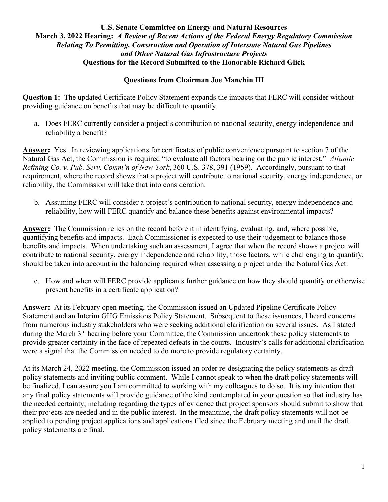# **Questions from Chairman Joe Manchin III**

**Question 1:** The updated Certificate Policy Statement expands the impacts that FERC will consider without providing guidance on benefits that may be difficult to quantify.

a. Does FERC currently consider a project's contribution to national security, energy independence and reliability a benefit?

**Answer:** Yes. In reviewing applications for certificates of public convenience pursuant to section 7 of the Natural Gas Act, the Commission is required "to evaluate all factors bearing on the public interest." *Atlantic Refining Co. v. Pub. Serv. Comm'n of New York*, 360 U.S. 378, 391 (1959). Accordingly, pursuant to that requirement, where the record shows that a project will contribute to national security, energy independence, or reliability, the Commission will take that into consideration.

b. Assuming FERC will consider a project's contribution to national security, energy independence and reliability, how will FERC quantify and balance these benefits against environmental impacts?

**Answer:** The Commission relies on the record before it in identifying, evaluating, and, where possible, quantifying benefits and impacts. Each Commissioner is expected to use their judgement to balance those benefits and impacts. When undertaking such an assessment, I agree that when the record shows a project will contribute to national security, energy independence and reliability, those factors, while challenging to quantify, should be taken into account in the balancing required when assessing a project under the Natural Gas Act.

c. How and when will FERC provide applicants further guidance on how they should quantify or otherwise present benefits in a certificate application?

**Answer:** At its February open meeting, the Commission issued an Updated Pipeline Certificate Policy Statement and an Interim GHG Emissions Policy Statement. Subsequent to these issuances, I heard concerns from numerous industry stakeholders who were seeking additional clarification on several issues. As I stated during the March 3<sup>rd</sup> hearing before your Committee, the Commission undertook these policy statements to provide greater certainty in the face of repeated defeats in the courts. Industry's calls for additional clarification were a signal that the Commission needed to do more to provide regulatory certainty.

At its March 24, 2022 meeting, the Commission issued an order re-designating the policy statements as draft policy statements and inviting public comment. While I cannot speak to when the draft policy statements will be finalized, I can assure you I am committed to working with my colleagues to do so. It is my intention that any final policy statements will provide guidance of the kind contemplated in your question so that industry has the needed certainty, including regarding the types of evidence that project sponsors should submit to show that their projects are needed and in the public interest. In the meantime, the draft policy statements will not be applied to pending project applications and applications filed since the February meeting and until the draft policy statements are final.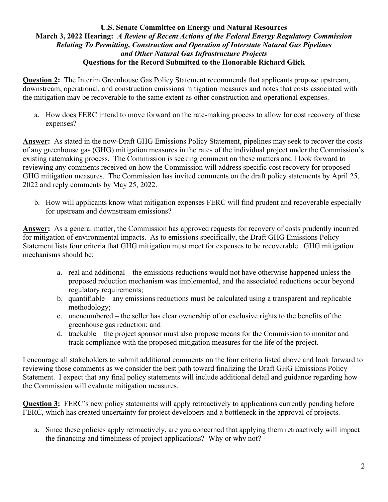**Question 2:** The Interim Greenhouse Gas Policy Statement recommends that applicants propose upstream, downstream, operational, and construction emissions mitigation measures and notes that costs associated with the mitigation may be recoverable to the same extent as other construction and operational expenses.

a. How does FERC intend to move forward on the rate-making process to allow for cost recovery of these expenses?

**Answer:** As stated in the now-Draft GHG Emissions Policy Statement, pipelines may seek to recover the costs of any greenhouse gas (GHG) mitigation measures in the rates of the individual project under the Commission's existing ratemaking process. The Commission is seeking comment on these matters and I look forward to reviewing any comments received on how the Commission will address specific cost recovery for proposed GHG mitigation measures. The Commission has invited comments on the draft policy statements by April 25, 2022 and reply comments by May 25, 2022.

b. How will applicants know what mitigation expenses FERC will find prudent and recoverable especially for upstream and downstream emissions?

**Answer:** As a general matter, the Commission has approved requests for recovery of costs prudently incurred for mitigation of environmental impacts.As to emissions specifically, the Draft GHG Emissions Policy Statement lists four criteria that GHG mitigation must meet for expenses to be recoverable. GHG mitigation mechanisms should be:

- a. real and additional the emissions reductions would not have otherwise happened unless the proposed reduction mechanism was implemented, and the associated reductions occur beyond regulatory requirements;
- b. quantifiable any emissions reductions must be calculated using a transparent and replicable methodology;
- c. unencumbered the seller has clear ownership of or exclusive rights to the benefits of the greenhouse gas reduction; and
- d. trackable the project sponsor must also propose means for the Commission to monitor and track compliance with the proposed mitigation measures for the life of the project.

I encourage all stakeholders to submit additional comments on the four criteria listed above and look forward to reviewing those comments as we consider the best path toward finalizing the Draft GHG Emissions Policy Statement. I expect that any final policy statements will include additional detail and guidance regarding how the Commission will evaluate mitigation measures.

**Question 3:** FERC's new policy statements will apply retroactively to applications currently pending before FERC, which has created uncertainty for project developers and a bottleneck in the approval of projects.

a. Since these policies apply retroactively, are you concerned that applying them retroactively will impact the financing and timeliness of project applications? Why or why not?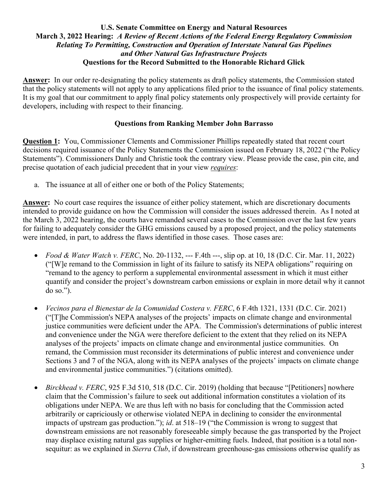**Answer:** In our order re-designating the policy statements as draft policy statements, the Commission stated that the policy statements will not apply to any applications filed prior to the issuance of final policy statements. It is my goal that our commitment to apply final policy statements only prospectively will provide certainty for developers, including with respect to their financing.

### **Questions from Ranking Member John Barrasso**

**Question 1:** You, Commissioner Clements and Commissioner Phillips repeatedly stated that recent court decisions required issuance of the Policy Statements the Commission issued on February 18, 2022 ("the Policy Statements"). Commissioners Danly and Christie took the contrary view. Please provide the case, pin cite, and precise quotation of each judicial precedent that in your view *requires*:

a. The issuance at all of either one or both of the Policy Statements;

**Answer:** No court case requires the issuance of either policy statement, which are discretionary documents intended to provide guidance on how the Commission will consider the issues addressed therein. As I noted at the March 3, 2022 hearing, the courts have remanded several cases to the Commission over the last few years for failing to adequately consider the GHG emissions caused by a proposed project, and the policy statements were intended, in part, to address the flaws identified in those cases. Those cases are:

- *Food & Water Watch v. FERC*, No. 20-1132, --- F.4th ---, slip op. at 10, 18 (D.C. Cir. Mar. 11, 2022) ("[W]e remand to the Commission in light of its failure to satisfy its NEPA obligations" requiring on "remand to the agency to perform a supplemental environmental assessment in which it must either quantify and consider the project's downstream carbon emissions or explain in more detail why it cannot do so.").
- *Vecinos para el Bienestar de la Comunidad Costera v. FERC*, 6 F.4th 1321, 1331 (D.C. Cir. 2021) ("[T]he Commission's NEPA analyses of the projects' impacts on climate change and environmental justice communities were deficient under the APA. The Commission's determinations of public interest and convenience under the NGA were therefore deficient to the extent that they relied on its NEPA analyses of the projects' impacts on climate change and environmental justice communities. On remand, the Commission must reconsider its determinations of public interest and convenience under Sections 3 and 7 of the NGA, along with its NEPA analyses of the projects' impacts on climate change and environmental justice communities.") (citations omitted).
- *Birckhead v. FERC*, 925 F.3d 510, 518 (D.C. Cir. 2019) (holding that because "[Petitioners] nowhere claim that the Commission's failure to seek out additional information constitutes a violation of its obligations under NEPA. We are thus left with no basis for concluding that the Commission acted arbitrarily or capriciously or otherwise violated NEPA in declining to consider the environmental impacts of upstream gas production."); *id*. at 518–19 ("the Commission is wrong to suggest that downstream emissions are not reasonably foreseeable simply because the gas transported by the Project may displace existing natural gas supplies or higher-emitting fuels. Indeed, that position is a total nonsequitur: as we explained in *Sierra Club*, if downstream greenhouse-gas emissions otherwise qualify as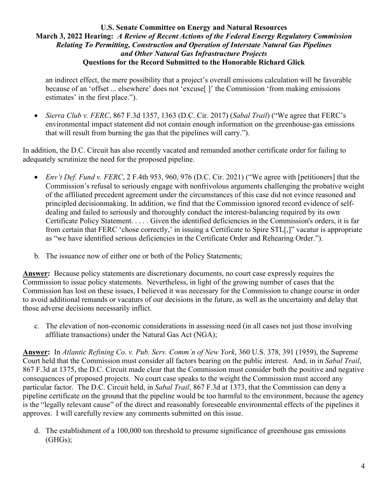an indirect effect, the mere possibility that a project's overall emissions calculation will be favorable because of an 'offset ... elsewhere' does not 'excuse[ ]' the Commission 'from making emissions estimates' in the first place.").

• *Sierra Club v. FERC*, 867 F.3d 1357, 1363 (D.C. Cir. 2017) (*Sabal Trail*) ("We agree that FERC's environmental impact statement did not contain enough information on the greenhouse-gas emissions that will result from burning the gas that the pipelines will carry.").

In addition, the D.C. Circuit has also recently vacated and remanded another certificate order for failing to adequately scrutinize the need for the proposed pipeline.

- *Env't Def. Fund v. FERC*, 2 F.4th 953, 960, 976 (D.C. Cir. 2021) ("We agree with [petitioners] that the Commission's refusal to seriously engage with nonfrivolous arguments challenging the probative weight of the affiliated precedent agreement under the circumstances of this case did not evince reasoned and principled decisionmaking. In addition, we find that the Commission ignored record evidence of selfdealing and failed to seriously and thoroughly conduct the interest-balancing required by its own Certificate Policy Statement. . . . . Given the identified deficiencies in the Commission's orders, it is far from certain that FERC 'chose correctly,' in issuing a Certificate to Spire STL[,]" vacatur is appropriate as "we have identified serious deficiencies in the Certificate Order and Rehearing Order.").
- b. The issuance now of either one or both of the Policy Statements;

**Answer:** Because policy statements are discretionary documents, no court case expressly requires the Commission to issue policy statements. Nevertheless, in light of the growing number of cases that the Commission has lost on these issues, I believed it was necessary for the Commission to change course in order to avoid additional remands or vacaturs of our decisions in the future, as well as the uncertainty and delay that those adverse decisions necessarily inflict.

c. The elevation of non-economic considerations in assessing need (in all cases not just those involving affiliate transactions) under the Natural Gas Act (NGA);

**Answer:** In *Atlantic Refining Co. v. Pub. Serv. Comm'n of New York*, 360 U.S. 378, 391 (1959), the Supreme Court held that the Commission must consider all factors bearing on the public interest. And, in in *Sabal Trail*, 867 F.3d at 1375, the D.C. Circuit made clear that the Commission must consider both the positive and negative consequences of proposed projects. No court case speaks to the weight the Commission must accord any particular factor. The D.C. Circuit held, in *Sabal Trail*, 867 F.3d at 1373, that the Commission can deny a pipeline certificate on the ground that the pipeline would be too harmful to the environment, because the agency is the "legally relevant cause" of the direct and reasonably foreseeable environmental effects of the pipelines it approves. I will carefully review any comments submitted on this issue.

d. The establishment of a 100,000 ton threshold to presume significance of greenhouse gas emissions (GHGs);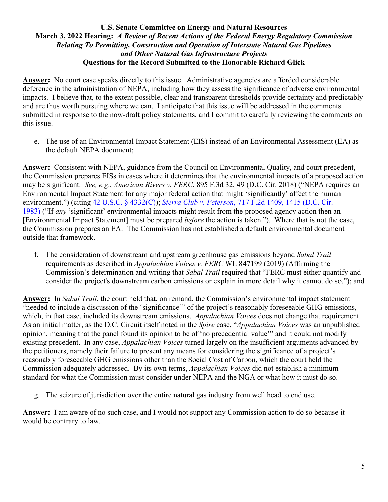**Answer:** No court case speaks directly to this issue. Administrative agencies are afforded considerable deference in the administration of NEPA, including how they assess the significance of adverse environmental impacts. I believe that, to the extent possible, clear and transparent thresholds provide certainty and predictably and are thus worth pursuing where we can. I anticipate that this issue will be addressed in the comments submitted in response to the now-draft policy statements, and I commit to carefully reviewing the comments on this issue.

e. The use of an Environmental Impact Statement (EIS) instead of an Environmental Assessment (EA) as the default NEPA document;

**Answer:** Consistent with NEPA, guidance from the Council on Environmental Quality, and court precedent, the Commission prepares EISs in cases where it determines that the environmental impacts of a proposed action may be significant. *See, e.g*., *American Rivers v. FERC*, 895 F.3d 32, 49 (D.C. Cir. 2018) ("NEPA requires an Environmental Impact Statement for any major federal action that might 'significantly' affect the human environment.") (citing [42 U.S.C. § 4332\(C\)\)](https://1.next.westlaw.com/Link/Document/FullText?findType=L&pubNum=1000546&cite=42USCAS4332&originatingDoc=If9753150813f11e88be5ff0f408d813f&refType=RB&originationContext=document&transitionType=DocumentItem&ppcid=c03ab32704d244db8690fabc9ee7cd6f&contextData=(sc.Search)#co_pp_cf1000002eff7); *Sierra Club v. Peterson*[, 717 F.2d 1409, 1415 \(D.C. Cir.](https://1.next.westlaw.com/Link/Document/FullText?findType=Y&serNum=1983144959&pubNum=0000350&originatingDoc=If9753150813f11e88be5ff0f408d813f&refType=RP&fi=co_pp_sp_350_1415&originationContext=document&transitionType=DocumentItem&ppcid=c03ab32704d244db8690fabc9ee7cd6f&contextData=(sc.Search)#co_pp_sp_350_1415)  [1983\)](https://1.next.westlaw.com/Link/Document/FullText?findType=Y&serNum=1983144959&pubNum=0000350&originatingDoc=If9753150813f11e88be5ff0f408d813f&refType=RP&fi=co_pp_sp_350_1415&originationContext=document&transitionType=DocumentItem&ppcid=c03ab32704d244db8690fabc9ee7cd6f&contextData=(sc.Search)#co_pp_sp_350_1415) ("If *any* 'significant' environmental impacts might result from the proposed agency action then an [Environmental Impact Statement] must be prepared *before* the action is taken."). Where that is not the case, the Commission prepares an EA. The Commission has not established a default environmental document outside that framework.

f. The consideration of downstream and upstream greenhouse gas emissions beyond *Sabal Trail* requirements as described in *Appalachian Voices v. FERC* WL 847199 (2019) (Affirming the Commission's determination and writing that *Sabal Trail* required that "FERC must either quantify and consider the project's downstream carbon emissions or explain in more detail why it cannot do so."); and

**Answer:** In *Sabal Trail*, the court held that, on remand, the Commission's environmental impact statement "needed to include a discussion of the 'significance'" of the project's reasonably foreseeable GHG emissions, which, in that case, included its downstream emissions. *Appalachian Voices* does not change that requirement. As an initial matter, as the D.C. Circuit itself noted in the *Spire* case, "*Appalachian Voices* was an unpublished opinion, meaning that the panel found its opinion to be of 'no precedential value'" and it could not modify existing precedent. In any case, *Appalachian Voices* turned largely on the insufficient arguments advanced by the petitioners, namely their failure to present any means for considering the significance of a project's reasonably foreseeable GHG emissions other than the Social Cost of Carbon, which the court held the Commission adequately addressed. By its own terms, *Appalachian Voices* did not establish a minimum standard for what the Commission must consider under NEPA and the NGA or what how it must do so.

g. The seizure of jurisdiction over the entire natural gas industry from well head to end use.

**Answer:** I am aware of no such case, and I would not support any Commission action to do so because it would be contrary to law.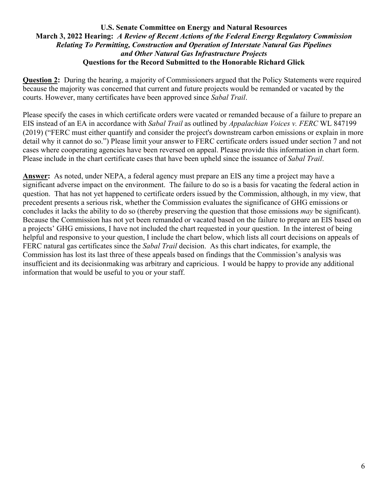**Question 2:** During the hearing, a majority of Commissioners argued that the Policy Statements were required because the majority was concerned that current and future projects would be remanded or vacated by the courts. However, many certificates have been approved since *Sabal Trail*.

Please specify the cases in which certificate orders were vacated or remanded because of a failure to prepare an EIS instead of an EA in accordance with *Sabal Trail* as outlined by *Appalachian Voices v. FERC* WL 847199 (2019) ("FERC must either quantify and consider the project's downstream carbon emissions or explain in more detail why it cannot do so.") Please limit your answer to FERC certificate orders issued under section 7 and not cases where cooperating agencies have been reversed on appeal. Please provide this information in chart form. Please include in the chart certificate cases that have been upheld since the issuance of *Sabal Trail*.

**Answer:** As noted, under NEPA, a federal agency must prepare an EIS any time a project may have a significant adverse impact on the environment. The failure to do so is a basis for vacating the federal action in question. That has not yet happened to certificate orders issued by the Commission, although, in my view, that precedent presents a serious risk, whether the Commission evaluates the significance of GHG emissions or concludes it lacks the ability to do so (thereby preserving the question that those emissions *may* be significant). Because the Commission has not yet been remanded or vacated based on the failure to prepare an EIS based on a projects' GHG emissions, I have not included the chart requested in your question. In the interest of being helpful and responsive to your question, I include the chart below, which lists all court decisions on appeals of FERC natural gas certificates since the *Sabal Trail* decision. As this chart indicates, for example, the Commission has lost its last three of these appeals based on findings that the Commission's analysis was insufficient and its decisionmaking was arbitrary and capricious. I would be happy to provide any additional information that would be useful to you or your staff.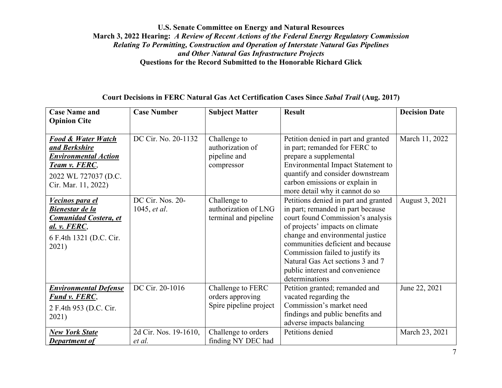### **Court Decisions in FERC Natural Gas Act Certification Cases Since** *Sabal Trail* **(Aug. 2017)**

| <b>Case Name and</b>          | <b>Case Number</b>    | <b>Subject Matter</b>  | <b>Result</b>                            | <b>Decision Date</b> |
|-------------------------------|-----------------------|------------------------|------------------------------------------|----------------------|
| <b>Opinion Cite</b>           |                       |                        |                                          |                      |
|                               |                       |                        |                                          |                      |
| <b>Food &amp; Water Watch</b> | DC Cir. No. 20-1132   | Challenge to           | Petition denied in part and granted      | March 11, 2022       |
| and Berkshire                 |                       | authorization of       | in part; remanded for FERC to            |                      |
| <b>Environmental Action</b>   |                       | pipeline and           | prepare a supplemental                   |                      |
| <b>Team v. FERC,</b>          |                       | compressor             | <b>Environmental Impact Statement to</b> |                      |
| 2022 WL 727037 (D.C.          |                       |                        | quantify and consider downstream         |                      |
| Cir. Mar. 11, 2022)           |                       |                        | carbon emissions or explain in           |                      |
|                               |                       |                        | more detail why it cannot do so          |                      |
| Vecinos para el               | DC Cir. Nos. 20-      | Challenge to           | Petitions denied in part and granted     | August 3, 2021       |
| <b>Bienestar de la</b>        | 1045, <i>et al.</i>   | authorization of LNG   | in part; remanded in part because        |                      |
| <b>Comunidad Costera, et</b>  |                       | terminal and pipeline  | court found Commission's analysis        |                      |
| al. v. FERC,                  |                       |                        | of projects' impacts on climate          |                      |
| 6 F.4th 1321 (D.C. Cir.       |                       |                        | change and environmental justice         |                      |
| 2021)                         |                       |                        | communities deficient and because        |                      |
|                               |                       |                        | Commission failed to justify its         |                      |
|                               |                       |                        | Natural Gas Act sections 3 and 7         |                      |
|                               |                       |                        | public interest and convenience          |                      |
|                               |                       |                        | determinations                           |                      |
| <b>Environmental Defense</b>  | DC Cir. 20-1016       | Challenge to FERC      | Petition granted; remanded and           | June 22, 2021        |
| <b>Fund v. FERC,</b>          |                       | orders approving       | vacated regarding the                    |                      |
| 2 F.4th 953 (D.C. Cir.        |                       | Spire pipeline project | Commission's market need                 |                      |
| 2021)                         |                       |                        | findings and public benefits and         |                      |
|                               |                       |                        | adverse impacts balancing                |                      |
| <b>New York State</b>         | 2d Cir. Nos. 19-1610, | Challenge to orders    | Petitions denied                         | March 23, 2021       |
| Department of                 | et al.                | finding NY DEC had     |                                          |                      |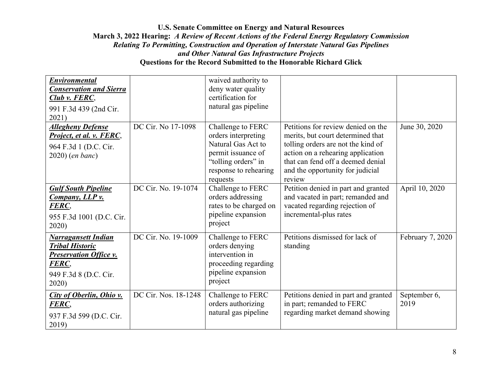| <b>Environmental</b><br><b>Conservation and Sierra</b><br>Club v. FERC,<br>991 F.3d 439 (2nd Cir.<br>2021)                       |                      | waived authority to<br>deny water quality<br>certification for<br>natural gas pipeline                                                           |                                                                                                                                                                                                                                       |                      |
|----------------------------------------------------------------------------------------------------------------------------------|----------------------|--------------------------------------------------------------------------------------------------------------------------------------------------|---------------------------------------------------------------------------------------------------------------------------------------------------------------------------------------------------------------------------------------|----------------------|
| <b>Allegheny Defense</b><br>Project, et al. v. FERC,<br>964 F.3d 1 (D.C. Cir.<br>$2020$ ) (en banc)                              | DC Cir. No 17-1098   | Challenge to FERC<br>orders interpreting<br>Natural Gas Act to<br>permit issuance of<br>"tolling orders" in<br>response to rehearing<br>requests | Petitions for review denied on the<br>merits, but court determined that<br>tolling orders are not the kind of<br>action on a rehearing application<br>that can fend off a deemed denial<br>and the opportunity for judicial<br>review | June 30, 2020        |
| <b>Gulf South Pipeline</b><br><b>Company, LLP v.</b><br>FERC,<br>955 F.3d 1001 (D.C. Cir.<br>2020)                               | DC Cir. No. 19-1074  | Challenge to FERC<br>orders addressing<br>rates to be charged on<br>pipeline expansion<br>project                                                | Petition denied in part and granted<br>and vacated in part; remanded and<br>vacated regarding rejection of<br>incremental-plus rates                                                                                                  | April 10, 2020       |
| <b>Narragansett Indian</b><br><b>Tribal Historic</b><br><b>Preservation Office v.</b><br>FERC,<br>949 F.3d 8 (D.C. Cir.<br>2020) | DC Cir. No. 19-1009  | Challenge to FERC<br>orders denying<br>intervention in<br>proceeding regarding<br>pipeline expansion<br>project                                  | Petitions dismissed for lack of<br>standing                                                                                                                                                                                           | February 7, 2020     |
| <b>City of Oberlin, Ohio v.</b><br>FERC,<br>937 F.3d 599 (D.C. Cir.<br>2019)                                                     | DC Cir. Nos. 18-1248 | Challenge to FERC<br>orders authorizing<br>natural gas pipeline                                                                                  | Petitions denied in part and granted<br>in part; remanded to FERC<br>regarding market demand showing                                                                                                                                  | September 6,<br>2019 |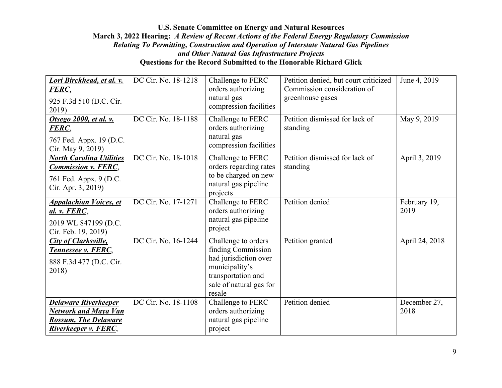| Lori Birckhead, et al. v.<br>FERC,<br>925 F.3d 510 (D.C. Cir.<br>2019)                                            | DC Cir. No. 18-1218 | Challenge to FERC<br>orders authorizing<br>natural gas<br>compression facilities                                                                | Petition denied, but court criticized<br>Commission consideration of<br>greenhouse gases | June 4, 2019         |
|-------------------------------------------------------------------------------------------------------------------|---------------------|-------------------------------------------------------------------------------------------------------------------------------------------------|------------------------------------------------------------------------------------------|----------------------|
| Otsego 2000, et al. v.<br>FERC,<br>767 Fed. Appx. 19 (D.C.<br>Cir. May 9, 2019)                                   | DC Cir. No. 18-1188 | Challenge to FERC<br>orders authorizing<br>natural gas<br>compression facilities                                                                | Petition dismissed for lack of<br>standing                                               | May 9, 2019          |
| <b>North Carolina Utilities</b><br><b>Commission v. FERC,</b><br>761 Fed. Appx. 9 (D.C.<br>Cir. Apr. 3, 2019)     | DC Cir. No. 18-1018 | Challenge to FERC<br>orders regarding rates<br>to be charged on new<br>natural gas pipeline<br>projects                                         | Petition dismissed for lack of<br>standing                                               | April 3, 2019        |
| <b>Appalachian Voices, et</b><br>al. v. FERC,<br>2019 WL 847199 (D.C.<br>Cir. Feb. 19, 2019)                      | DC Cir. No. 17-1271 | Challenge to FERC<br>orders authorizing<br>natural gas pipeline<br>project                                                                      | Petition denied                                                                          | February 19,<br>2019 |
| <b>City of Clarksville,</b><br>Tennessee v. FERC,<br>888 F.3d 477 (D.C. Cir.<br>2018)                             | DC Cir. No. 16-1244 | Challenge to orders<br>finding Commission<br>had jurisdiction over<br>municipality's<br>transportation and<br>sale of natural gas for<br>resale | Petition granted                                                                         | April 24, 2018       |
| <b>Delaware Riverkeeper</b><br>Network and Maya Van<br><b>Rossum, The Delaware</b><br><b>Riverkeeper v. FERC,</b> | DC Cir. No. 18-1108 | Challenge to FERC<br>orders authorizing<br>natural gas pipeline<br>project                                                                      | Petition denied                                                                          | December 27,<br>2018 |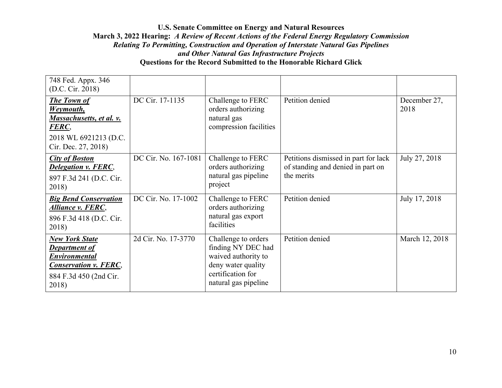| 748 Fed. Appx. 346<br>(D.C. Cir. 2018)                                                                                                   |                      |                                                                                                                                     |                                                                                         |                      |
|------------------------------------------------------------------------------------------------------------------------------------------|----------------------|-------------------------------------------------------------------------------------------------------------------------------------|-----------------------------------------------------------------------------------------|----------------------|
| <b>The Town of</b><br>Weymouth,<br><u>Massachusetts, et al. v.</u><br>FERC,<br>2018 WL 6921213 (D.C.<br>Cir. Dec. 27, 2018)              | DC Cir. 17-1135      | Challenge to FERC<br>orders authorizing<br>natural gas<br>compression facilities                                                    | Petition denied                                                                         | December 27,<br>2018 |
| <b>City of Boston</b><br><b>Delegation v. FERC,</b><br>897 F.3d 241 (D.C. Cir.<br>2018)                                                  | DC Cir. No. 167-1081 | Challenge to FERC<br>orders authorizing<br>natural gas pipeline<br>project                                                          | Petitions dismissed in part for lack<br>of standing and denied in part on<br>the merits | July 27, 2018        |
| <b>Big Bend Conservation</b><br><b>Alliance v. FERC,</b><br>896 F.3d 418 (D.C. Cir.<br>2018)                                             | DC Cir. No. 17-1002  | Challenge to FERC<br>orders authorizing<br>natural gas export<br>facilities                                                         | Petition denied                                                                         | July 17, 2018        |
| <b>New York State</b><br><b>Department of</b><br><b>Environmental</b><br><b>Conservation v. FERC,</b><br>884 F.3d 450 (2nd Cir.<br>2018) | 2d Cir. No. 17-3770  | Challenge to orders<br>finding NY DEC had<br>waived authority to<br>deny water quality<br>certification for<br>natural gas pipeline | Petition denied                                                                         | March 12, 2018       |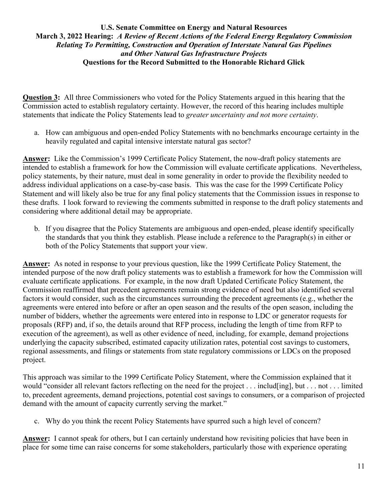**Question 3:** All three Commissioners who voted for the Policy Statements argued in this hearing that the Commission acted to establish regulatory certainty. However, the record of this hearing includes multiple statements that indicate the Policy Statements lead to *greater uncertainty and not more certainty*.

a. How can ambiguous and open-ended Policy Statements with no benchmarks encourage certainty in the heavily regulated and capital intensive interstate natural gas sector?

**Answer:** Like the Commission's 1999 Certificate Policy Statement, the now-draft policy statements are intended to establish a framework for how the Commission will evaluate certificate applications. Nevertheless, policy statements, by their nature, must deal in some generality in order to provide the flexibility needed to address individual applications on a case-by-case basis. This was the case for the 1999 Certificate Policy Statement and will likely also be true for any final policy statements that the Commission issues in response to these drafts. I look forward to reviewing the comments submitted in response to the draft policy statements and considering where additional detail may be appropriate.

b. If you disagree that the Policy Statements are ambiguous and open-ended, please identify specifically the standards that you think they establish. Please include a reference to the Paragraph(s) in either or both of the Policy Statements that support your view.

**Answer:** As noted in response to your previous question, like the 1999 Certificate Policy Statement, the intended purpose of the now draft policy statements was to establish a framework for how the Commission will evaluate certificate applications. For example, in the now draft Updated Certificate Policy Statement, the Commission reaffirmed that precedent agreements remain strong evidence of need but also identified several factors it would consider, such as the circumstances surrounding the precedent agreements (e.g., whether the agreements were entered into before or after an open season and the results of the open season, including the number of bidders, whether the agreements were entered into in response to LDC or generator requests for proposals (RFP) and, if so, the details around that RFP process, including the length of time from RFP to execution of the agreement), as well as other evidence of need, including, for example, demand projections underlying the capacity subscribed, estimated capacity utilization rates, potential cost savings to customers, regional assessments, and filings or statements from state regulatory commissions or LDCs on the proposed project.

This approach was similar to the 1999 Certificate Policy Statement, where the Commission explained that it would "consider all relevant factors reflecting on the need for the project . . . includ[ing], but . . . not . . . limited to, precedent agreements, demand projections, potential cost savings to consumers, or a comparison of projected demand with the amount of capacity currently serving the market."

c. Why do you think the recent Policy Statements have spurred such a high level of concern?

**Answer:** I cannot speak for others, but I can certainly understand how revisiting policies that have been in place for some time can raise concerns for some stakeholders, particularly those with experience operating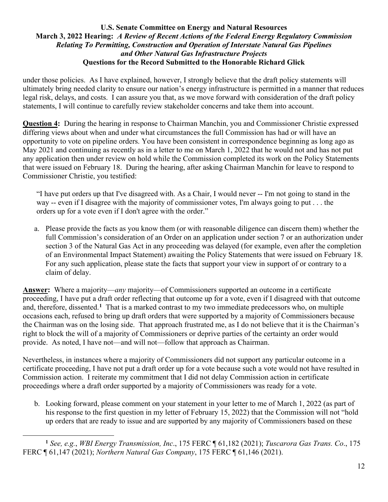under those policies. As I have explained, however, I strongly believe that the draft policy statements will ultimately bring needed clarity to ensure our nation's energy infrastructure is permitted in a manner that reduces legal risk, delays, and costs. I can assure you that, as we move forward with consideration of the draft policy statements, I will continue to carefully review stakeholder concerns and take them into account.

**Question 4:** During the hearing in response to Chairman Manchin, you and Commissioner Christie expressed differing views about when and under what circumstances the full Commission has had or will have an opportunity to vote on pipeline orders. You have been consistent in correspondence beginning as long ago as May 2021 and continuing as recently as in a letter to me on March 1, 2022 that he would not and has not put any application then under review on hold while the Commission completed its work on the Policy Statements that were issued on February 18. During the hearing, after asking Chairman Manchin for leave to respond to Commissioner Christie, you testified:

"I have put orders up that I've disagreed with. As a Chair, I would never -- I'm not going to stand in the way -- even if I disagree with the majority of commissioner votes, I'm always going to put . . . the orders up for a vote even if I don't agree with the order."

a. Please provide the facts as you know them (or with reasonable diligence can discern them) whether the full Commission's consideration of an Order on an application under section 7 or an authorization under section 3 of the Natural Gas Act in any proceeding was delayed (for example, even after the completion of an Environmental Impact Statement) awaiting the Policy Statements that were issued on February 18. For any such application, please state the facts that support your view in support of or contrary to a claim of delay.

**Answer:** Where a majority—*any* majority—of Commissioners supported an outcome in a certificate proceeding, I have put a draft order reflecting that outcome up for a vote, even if I disagreed with that outcome and, therefore, dissented.**[1](#page-11-0)** That is a marked contrast to my two immediate predecessors who, on multiple occasions each, refused to bring up draft orders that were supported by a majority of Commissioners because the Chairman was on the losing side. That approach frustrated me, as I do not believe that it is the Chairman's right to block the will of a majority of Commissioners or deprive parties of the certainty an order would provide. As noted, I have not—and will not—follow that approach as Chairman.

Nevertheless, in instances where a majority of Commissioners did not support any particular outcome in a certificate proceeding, I have not put a draft order up for a vote because such a vote would not have resulted in Commission action. I reiterate my commitment that I did not delay Commission action in certificate proceedings where a draft order supported by a majority of Commissioners was ready for a vote.

b. Looking forward, please comment on your statement in your letter to me of March 1, 2022 (as part of his response to the first question in my letter of February 15, 2022) that the Commission will not "hold up orders that are ready to issue and are supported by any majority of Commissioners based on these

<span id="page-11-0"></span>**<sup>1</sup>** *See, e.g.*, *WBI Energy Transmission, Inc*., 175 FERC ¶ 61,182 (2021); *Tuscarora Gas Trans. Co*., 175 FERC ¶ 61,147 (2021); *Northern Natural Gas Company*, 175 FERC ¶ 61,146 (2021).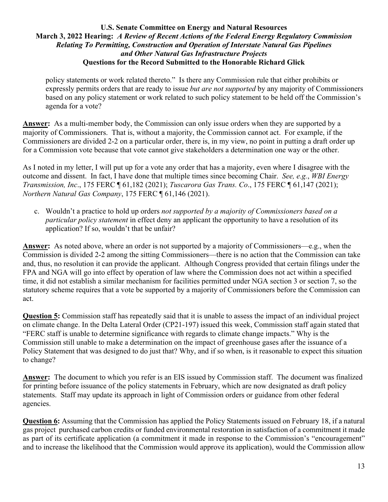policy statements or work related thereto." Is there any Commission rule that either prohibits or expressly permits orders that are ready to issue *but are not supported* by any majority of Commissioners based on any policy statement or work related to such policy statement to be held off the Commission's agenda for a vote?

**Answer:** As a multi-member body, the Commission can only issue orders when they are supported by a majority of Commissioners. That is, without a majority, the Commission cannot act. For example, if the Commissioners are divided 2-2 on a particular order, there is, in my view, no point in putting a draft order up for a Commission vote because that vote cannot give stakeholders a determination one way or the other.

As I noted in my letter, I will put up for a vote any order that has a majority, even where I disagree with the outcome and dissent. In fact, I have done that multiple times since becoming Chair. *See, e.g.*, *WBI Energy Transmission, Inc*., 175 FERC ¶ 61,182 (2021); *Tuscarora Gas Trans. Co*., 175 FERC ¶ 61,147 (2021); *Northern Natural Gas Company*, 175 FERC ¶ 61,146 (2021).

c. Wouldn't a practice to hold up orders *not supported by a majority of Commissioners based on a particular policy statement* in effect deny an applicant the opportunity to have a resolution of its application? If so, wouldn't that be unfair?

**Answer:** As noted above, where an order is not supported by a majority of Commissioners—e.g., when the Commission is divided 2-2 among the sitting Commissioners—there is no action that the Commission can take and, thus, no resolution it can provide the applicant. Although Congress provided that certain filings under the FPA and NGA will go into effect by operation of law where the Commission does not act within a specified time, it did not establish a similar mechanism for facilities permitted under NGA section 3 or section 7, so the statutory scheme requires that a vote be supported by a majority of Commissioners before the Commission can act.

**Question 5:** Commission staff has repeatedly said that it is unable to assess the impact of an individual project on climate change. In the Delta Lateral Order (CP21-197) issued this week, Commission staff again stated that "FERC staff is unable to determine significance with regards to climate change impacts." Why is the Commission still unable to make a determination on the impact of greenhouse gases after the issuance of a Policy Statement that was designed to do just that? Why, and if so when, is it reasonable to expect this situation to change?

**Answer:** The document to which you refer is an EIS issued by Commission staff. The document was finalized for printing before issuance of the policy statements in February, which are now designated as draft policy statements. Staff may update its approach in light of Commission orders or guidance from other federal agencies.

**Question 6:** Assuming that the Commission has applied the Policy Statements issued on February 18, if a natural gas project purchased carbon credits or funded environmental restoration in satisfaction of a commitment it made as part of its certificate application (a commitment it made in response to the Commission's "encouragement" and to increase the likelihood that the Commission would approve its application), would the Commission allow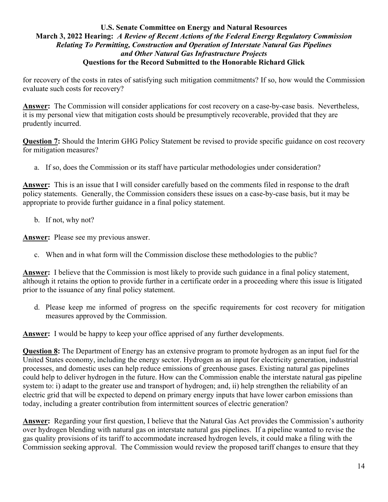for recovery of the costs in rates of satisfying such mitigation commitments? If so, how would the Commission evaluate such costs for recovery?

**Answer:** The Commission will consider applications for cost recovery on a case-by-case basis. Nevertheless, it is my personal view that mitigation costs should be presumptively recoverable, provided that they are prudently incurred.

**Question 7:** Should the Interim GHG Policy Statement be revised to provide specific guidance on cost recovery for mitigation measures?

a. If so, does the Commission or its staff have particular methodologies under consideration?

**Answer:** This is an issue that I will consider carefully based on the comments filed in response to the draft policy statements. Generally, the Commission considers these issues on a case-by-case basis, but it may be appropriate to provide further guidance in a final policy statement.

b. If not, why not?

**Answer:** Please see my previous answer.

c. When and in what form will the Commission disclose these methodologies to the public?

**Answer:** I believe that the Commission is most likely to provide such guidance in a final policy statement, although it retains the option to provide further in a certificate order in a proceeding where this issue is litigated prior to the issuance of any final policy statement.

d. Please keep me informed of progress on the specific requirements for cost recovery for mitigation measures approved by the Commission.

**Answer:** I would be happy to keep your office apprised of any further developments.

**Question 8:** The Department of Energy has an extensive program to promote hydrogen as an input fuel for the United States economy, including the energy sector. Hydrogen as an input for electricity generation, industrial processes, and domestic uses can help reduce emissions of greenhouse gases. Existing natural gas pipelines could help to deliver hydrogen in the future. How can the Commission enable the interstate natural gas pipeline system to: i) adapt to the greater use and transport of hydrogen; and, ii) help strengthen the reliability of an electric grid that will be expected to depend on primary energy inputs that have lower carbon emissions than today, including a greater contribution from intermittent sources of electric generation?

**Answer:** Regarding your first question, I believe that the Natural Gas Act provides the Commission's authority over hydrogen blending with natural gas on interstate natural gas pipelines. If a pipeline wanted to revise the gas quality provisions of its tariff to accommodate increased hydrogen levels, it could make a filing with the Commission seeking approval. The Commission would review the proposed tariff changes to ensure that they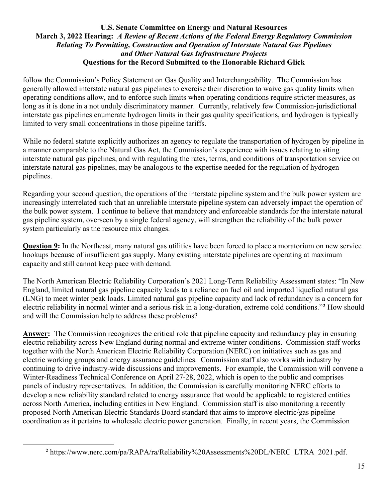follow the Commission's Policy Statement on Gas Quality and Interchangeability. The Commission has generally allowed interstate natural gas pipelines to exercise their discretion to waive gas quality limits when operating conditions allow, and to enforce such limits when operating conditions require stricter measures, as long as it is done in a not unduly discriminatory manner. Currently, relatively few Commission-jurisdictional interstate gas pipelines enumerate hydrogen limits in their gas quality specifications, and hydrogen is typically limited to very small concentrations in those pipeline tariffs.

While no federal statute explicitly authorizes an agency to regulate the transportation of hydrogen by pipeline in a manner comparable to the Natural Gas Act, the Commission's experience with issues relating to siting interstate natural gas pipelines, and with regulating the rates, terms, and conditions of transportation service on interstate natural gas pipelines, may be analogous to the expertise needed for the regulation of hydrogen pipelines.

Regarding your second question, the operations of the interstate pipeline system and the bulk power system are increasingly interrelated such that an unreliable interstate pipeline system can adversely impact the operation of the bulk power system. I continue to believe that mandatory and enforceable standards for the interstate natural gas pipeline system, overseen by a single federal agency, will strengthen the reliability of the bulk power system particularly as the resource mix changes.

**Question 9:** In the Northeast, many natural gas utilities have been forced to place a moratorium on new service hookups because of insufficient gas supply. Many existing interstate pipelines are operating at maximum capacity and still cannot keep pace with demand.

The North American Electric Reliability Corporation's 2021 Long-Term Reliability Assessment states: "In New England, limited natural gas pipeline capacity leads to a reliance on fuel oil and imported liquefied natural gas (LNG) to meet winter peak loads. Limited natural gas pipeline capacity and lack of redundancy is a concern for electric reliability in normal winter and a serious risk in a long-duration, extreme cold conditions."**[2](#page-14-0)** How should and will the Commission help to address these problems?

**Answer:** The Commission recognizes the critical role that pipeline capacity and redundancy play in ensuring electric reliability across New England during normal and extreme winter conditions. Commission staff works together with the North American Electric Reliability Corporation (NERC) on initiatives such as gas and electric working groups and energy assurance guidelines. Commission staff also works with industry by continuing to drive industry-wide discussions and improvements. For example, the Commission will convene a Winter-Readiness Technical Conference on April 27-28, 2022, which is open to the public and comprises panels of industry representatives. In addition, the Commission is carefully monitoring NERC efforts to develop a new reliability standard related to energy assurance that would be applicable to registered entities across North America, including entities in New England. Commission staff is also monitoring a recently proposed North American Electric Standards Board standard that aims to improve electric/gas pipeline coordination as it pertains to wholesale electric power generation. Finally, in recent years, the Commission

<span id="page-14-0"></span>**<sup>2</sup>** https://www.nerc.com/pa/RAPA/ra/Reliability%20Assessments%20DL/NERC\_LTRA\_2021.pdf.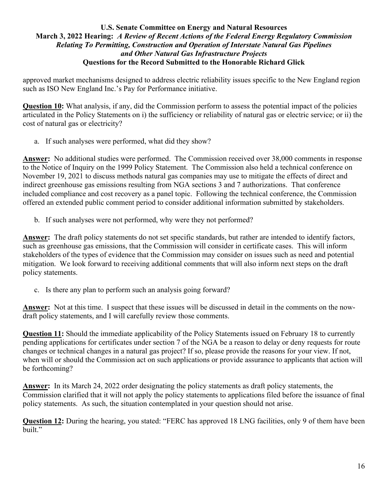approved market mechanisms designed to address electric reliability issues specific to the New England region such as ISO New England Inc.'s Pay for Performance initiative.

**Question 10:** What analysis, if any, did the Commission perform to assess the potential impact of the policies articulated in the Policy Statements on i) the sufficiency or reliability of natural gas or electric service; or ii) the cost of natural gas or electricity?

a. If such analyses were performed, what did they show?

**Answer:** No additional studies were performed. The Commission received over 38,000 comments in response to the Notice of Inquiry on the 1999 Policy Statement. The Commission also held a technical conference on November 19, 2021 to discuss methods natural gas companies may use to mitigate the effects of direct and indirect greenhouse gas emissions resulting from NGA sections 3 and 7 authorizations. That conference included compliance and cost recovery as a panel topic. Following the technical conference, the Commission offered an extended public comment period to consider additional information submitted by stakeholders.

b. If such analyses were not performed, why were they not performed?

**Answer:** The draft policy statements do not set specific standards, but rather are intended to identify factors, such as greenhouse gas emissions, that the Commission will consider in certificate cases. This will inform stakeholders of the types of evidence that the Commission may consider on issues such as need and potential mitigation. We look forward to receiving additional comments that will also inform next steps on the draft policy statements.

c. Is there any plan to perform such an analysis going forward?

**Answer:** Not at this time. I suspect that these issues will be discussed in detail in the comments on the nowdraft policy statements, and I will carefully review those comments.

**Question 11:** Should the immediate applicability of the Policy Statements issued on February 18 to currently pending applications for certificates under section 7 of the NGA be a reason to delay or deny requests for route changes or technical changes in a natural gas project? If so, please provide the reasons for your view. If not, when will or should the Commission act on such applications or provide assurance to applicants that action will be forthcoming?

**Answer:** In its March 24, 2022 order designating the policy statements as draft policy statements, the Commission clarified that it will not apply the policy statements to applications filed before the issuance of final policy statements. As such, the situation contemplated in your question should not arise.

**Question 12:** During the hearing, you stated: "FERC has approved 18 LNG facilities, only 9 of them have been built."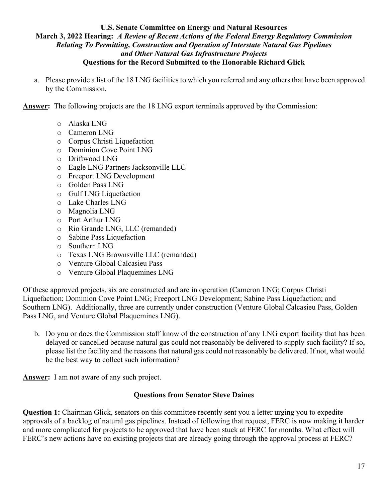- a. Please provide a list of the 18 LNG facilities to which you referred and any others that have been approved by the Commission.
- **Answer:** The following projects are the 18 LNG export terminals approved by the Commission:
	- o Alaska LNG
	- o Cameron LNG
	- o Corpus Christi Liquefaction
	- o Dominion Cove Point LNG
	- o Driftwood LNG
	- o Eagle LNG Partners Jacksonville LLC
	- o Freeport LNG Development
	- o Golden Pass LNG
	- o Gulf LNG Liquefaction
	- o Lake Charles LNG
	- o Magnolia LNG
	- o Port Arthur LNG
	- o Rio Grande LNG, LLC (remanded)
	- o Sabine Pass Liquefaction
	- o Southern LNG
	- o Texas LNG Brownsville LLC (remanded)
	- o Venture Global Calcasieu Pass
	- o Venture Global Plaquemines LNG

Of these approved projects, six are constructed and are in operation (Cameron LNG; Corpus Christi Liquefaction; Dominion Cove Point LNG; Freeport LNG Development; Sabine Pass Liquefaction; and Southern LNG). Additionally, three are currently under construction (Venture Global Calcasieu Pass, Golden Pass LNG, and Venture Global Plaquemines LNG).

b. Do you or does the Commission staff know of the construction of any LNG export facility that has been delayed or cancelled because natural gas could not reasonably be delivered to supply such facility? If so, please list the facility and the reasons that natural gas could not reasonably be delivered. If not, what would be the best way to collect such information?

**Answer:** I am not aware of any such project.

### **Questions from Senator Steve Daines**

**Question 1:** Chairman Glick, senators on this committee recently sent you a letter urging you to expedite approvals of a backlog of natural gas pipelines. Instead of following that request, FERC is now making it harder and more complicated for projects to be approved that have been stuck at FERC for months. What effect will FERC's new actions have on existing projects that are already going through the approval process at FERC?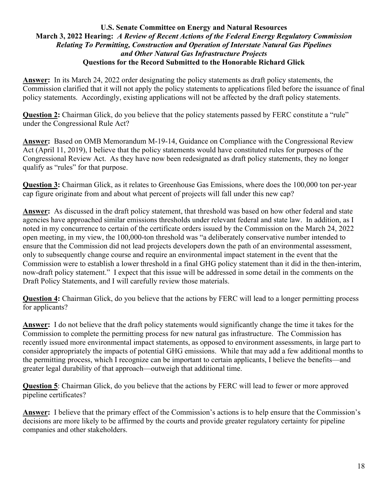**Answer:** In its March 24, 2022 order designating the policy statements as draft policy statements, the Commission clarified that it will not apply the policy statements to applications filed before the issuance of final policy statements. Accordingly, existing applications will not be affected by the draft policy statements.

**Question 2:** Chairman Glick, do you believe that the policy statements passed by FERC constitute a "rule" under the Congressional Rule Act?

**Answer:** Based on OMB Memorandum M-19-14, Guidance on Compliance with the Congressional Review Act (April 11, 2019), I believe that the policy statements would have constituted rules for purposes of the Congressional Review Act. As they have now been redesignated as draft policy statements, they no longer qualify as "rules" for that purpose.

**Question 3:** Chairman Glick, as it relates to Greenhouse Gas Emissions, where does the 100,000 ton per-year cap figure originate from and about what percent of projects will fall under this new cap?

**Answer:** As discussed in the draft policy statement, that threshold was based on how other federal and state agencies have approached similar emissions thresholds under relevant federal and state law. In addition, as I noted in my concurrence to certain of the certificate orders issued by the Commission on the March 24, 2022 open meeting, in my view, the 100,000-ton threshold was "a deliberately conservative number intended to ensure that the Commission did not lead projects developers down the path of an environmental assessment, only to subsequently change course and require an environmental impact statement in the event that the Commission were to establish a lower threshold in a final GHG policy statement than it did in the then-interim, now-draft policy statement." I expect that this issue will be addressed in some detail in the comments on the Draft Policy Statements, and I will carefully review those materials.

**Question 4:** Chairman Glick, do you believe that the actions by FERC will lead to a longer permitting process for applicants?

**Answer:** I do not believe that the draft policy statements would significantly change the time it takes for the Commission to complete the permitting process for new natural gas infrastructure. The Commission has recently issued more environmental impact statements, as opposed to environment assessments, in large part to consider appropriately the impacts of potential GHG emissions. While that may add a few additional months to the permitting process, which I recognize can be important to certain applicants, I believe the benefits—and greater legal durability of that approach—outweigh that additional time.

**Question 5**: Chairman Glick, do you believe that the actions by FERC will lead to fewer or more approved pipeline certificates?

**Answer:** I believe that the primary effect of the Commission's actions is to help ensure that the Commission's decisions are more likely to be affirmed by the courts and provide greater regulatory certainty for pipeline companies and other stakeholders.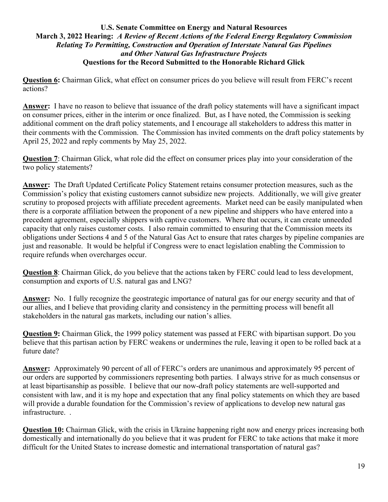**Question 6:** Chairman Glick, what effect on consumer prices do you believe will result from FERC's recent actions?

**Answer:** I have no reason to believe that issuance of the draft policy statements will have a significant impact on consumer prices, either in the interim or once finalized. But, as I have noted, the Commission is seeking additional comment on the draft policy statements, and I encourage all stakeholders to address this matter in their comments with the Commission. The Commission has invited comments on the draft policy statements by April 25, 2022 and reply comments by May 25, 2022.

**Question 7**: Chairman Glick, what role did the effect on consumer prices play into your consideration of the two policy statements?

**Answer:** The Draft Updated Certificate Policy Statement retains consumer protection measures, such as the Commission's policy that existing customers cannot subsidize new projects. Additionally, we will give greater scrutiny to proposed projects with affiliate precedent agreements. Market need can be easily manipulated when there is a corporate affiliation between the proponent of a new pipeline and shippers who have entered into a precedent agreement, especially shippers with captive customers. Where that occurs, it can create unneeded capacity that only raises customer costs. I also remain committed to ensuring that the Commission meets its obligations under Sections 4 and 5 of the Natural Gas Act to ensure that rates charges by pipeline companies are just and reasonable. It would be helpful if Congress were to enact legislation enabling the Commission to require refunds when overcharges occur.

**Question 8**: Chairman Glick, do you believe that the actions taken by FERC could lead to less development, consumption and exports of U.S. natural gas and LNG?

**Answer:** No. I fully recognize the geostrategic importance of natural gas for our energy security and that of our allies, and I believe that providing clarity and consistency in the permitting process will benefit all stakeholders in the natural gas markets, including our nation's allies.

**Question 9:** Chairman Glick, the 1999 policy statement was passed at FERC with bipartisan support. Do you believe that this partisan action by FERC weakens or undermines the rule, leaving it open to be rolled back at a future date?

**Answer:** Approximately 90 percent of all of FERC's orders are unanimous and approximately 95 percent of our orders are supported by commissioners representing both parties. I always strive for as much consensus or at least bipartisanship as possible. I believe that our now-draft policy statements are well-supported and consistent with law, and it is my hope and expectation that any final policy statements on which they are based will provide a durable foundation for the Commission's review of applications to develop new natural gas infrastructure. .

**Question 10:** Chairman Glick, with the crisis in Ukraine happening right now and energy prices increasing both domestically and internationally do you believe that it was prudent for FERC to take actions that make it more difficult for the United States to increase domestic and international transportation of natural gas?